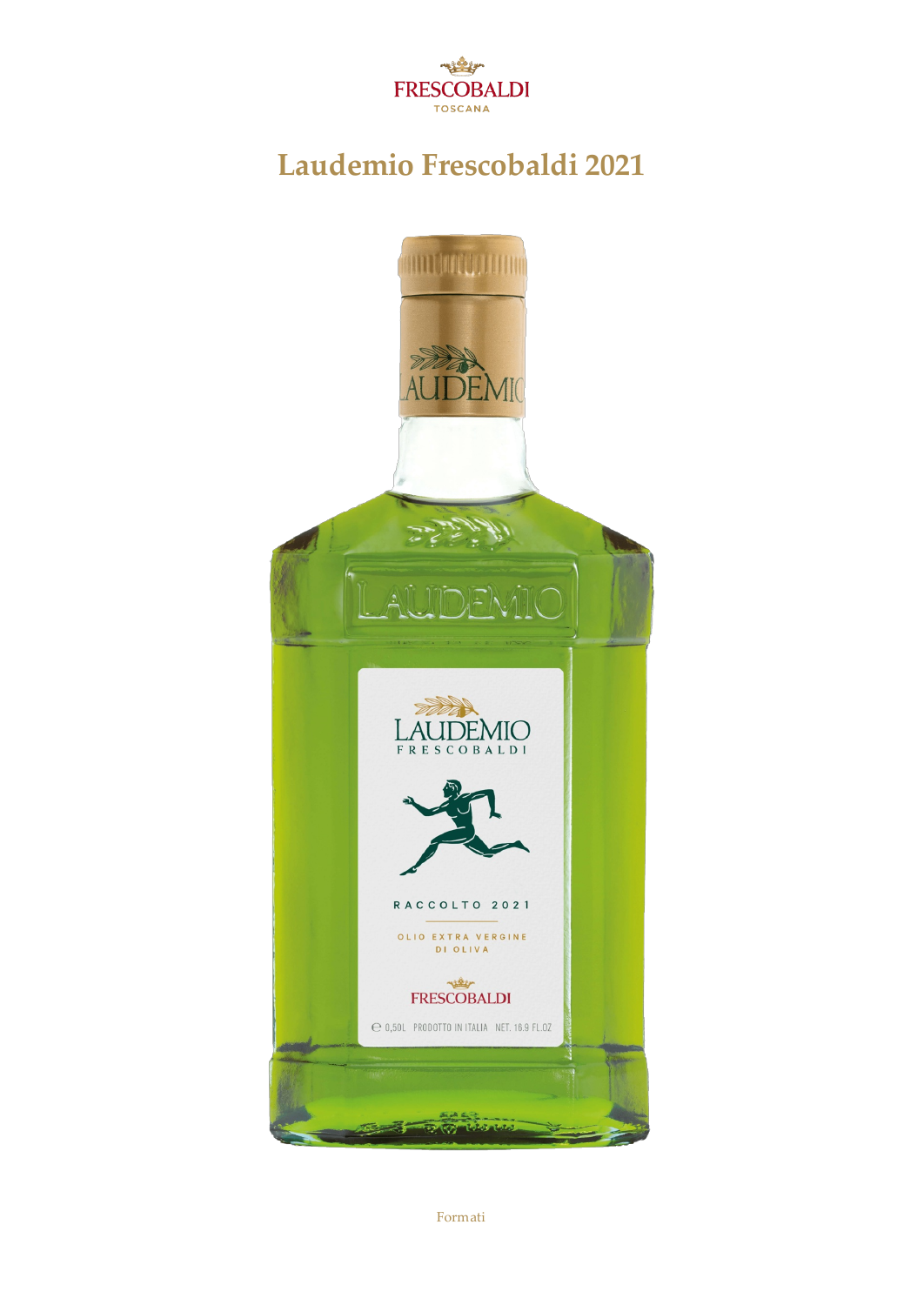

## **Laudemio Frescobaldi2021**



Formati